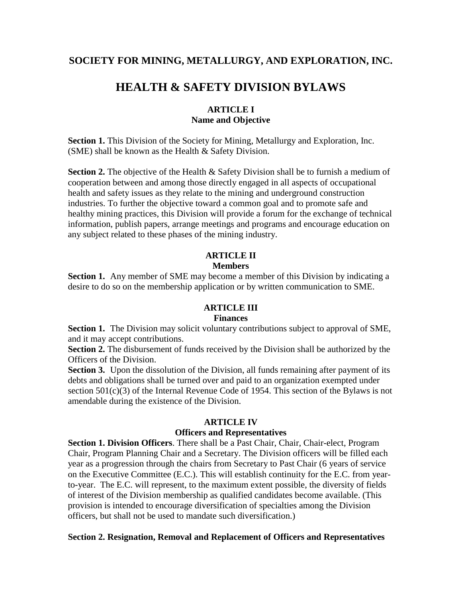# **SOCIETY FOR MINING, METALLURGY, AND EXPLORATION, INC.**

# **HEALTH & SAFETY DIVISION BYLAWS**

#### **ARTICLE I Name and Objective**

**Section 1.** This Division of the Society for Mining, Metallurgy and Exploration, Inc. (SME) shall be known as the Health & Safety Division.

**Section 2.** The objective of the Health & Safety Division shall be to furnish a medium of cooperation between and among those directly engaged in all aspects of occupational health and safety issues as they relate to the mining and underground construction industries. To further the objective toward a common goal and to promote safe and healthy mining practices, this Division will provide a forum for the exchange of technical information, publish papers, arrange meetings and programs and encourage education on any subject related to these phases of the mining industry.

#### **ARTICLE II Members**

**Section 1.** Any member of SME may become a member of this Division by indicating a desire to do so on the membership application or by written communication to SME.

# **ARTICLE III**

#### **Finances**

**Section 1.** The Division may solicit voluntary contributions subject to approval of SME, and it may accept contributions.

**Section 2.** The disbursement of funds received by the Division shall be authorized by the Officers of the Division.

**Section 3.** Upon the dissolution of the Division, all funds remaining after payment of its debts and obligations shall be turned over and paid to an organization exempted under section 501(c)(3) of the Internal Revenue Code of 1954. This section of the Bylaws is not amendable during the existence of the Division.

#### **ARTICLE IV**

#### **Officers and Representatives**

**Section 1. Division Officers**. There shall be a Past Chair, Chair, Chair-elect, Program Chair, Program Planning Chair and a Secretary. The Division officers will be filled each year as a progression through the chairs from Secretary to Past Chair (6 years of service on the Executive Committee (E.C.). This will establish continuity for the E.C. from yearto-year. The E.C. will represent, to the maximum extent possible, the diversity of fields of interest of the Division membership as qualified candidates become available. (This provision is intended to encourage diversification of specialties among the Division officers, but shall not be used to mandate such diversification.)

#### **Section 2. Resignation, Removal and Replacement of Officers and Representatives**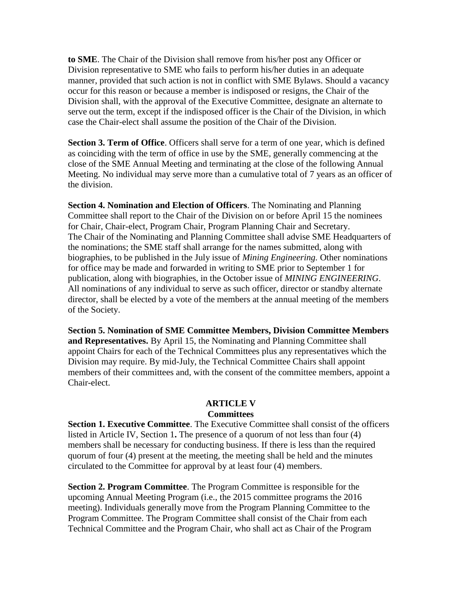**to SME**. The Chair of the Division shall remove from his/her post any Officer or Division representative to SME who fails to perform his/her duties in an adequate manner, provided that such action is not in conflict with SME Bylaws. Should a vacancy occur for this reason or because a member is indisposed or resigns, the Chair of the Division shall, with the approval of the Executive Committee, designate an alternate to serve out the term, except if the indisposed officer is the Chair of the Division, in which case the Chair-elect shall assume the position of the Chair of the Division.

**Section 3. Term of Office**. Officers shall serve for a term of one year, which is defined as coinciding with the term of office in use by the SME, generally commencing at the close of the SME Annual Meeting and terminating at the close of the following Annual Meeting. No individual may serve more than a cumulative total of 7 years as an officer of the division.

**Section 4. Nomination and Election of Officers**. The Nominating and Planning Committee shall report to the Chair of the Division on or before April 15 the nominees for Chair, Chair-elect, Program Chair, Program Planning Chair and Secretary. The Chair of the Nominating and Planning Committee shall advise SME Headquarters of the nominations; the SME staff shall arrange for the names submitted, along with biographies, to be published in the July issue of *Mining Engineering.* Other nominations for office may be made and forwarded in writing to SME prior to September 1 for publication, along with biographies, in the October issue of *MINING ENGINEERING*. All nominations of any individual to serve as such officer, director or standby alternate director, shall be elected by a vote of the members at the annual meeting of the members of the Society.

**Section 5. Nomination of SME Committee Members, Division Committee Members and Representatives.** By April 15, the Nominating and Planning Committee shall appoint Chairs for each of the Technical Committees plus any representatives which the Division may require. By mid-July, the Technical Committee Chairs shall appoint members of their committees and, with the consent of the committee members, appoint a Chair-elect.

### **ARTICLE V Committees**

**Section 1. Executive Committee**. The Executive Committee shall consist of the officers listed in Article IV, Section 1**.** The presence of a quorum of not less than four (4) members shall be necessary for conducting business. If there is less than the required quorum of four (4) present at the meeting, the meeting shall be held and the minutes circulated to the Committee for approval by at least four (4) members.

**Section 2. Program Committee**. The Program Committee is responsible for the upcoming Annual Meeting Program (i.e., the 2015 committee programs the 2016 meeting). Individuals generally move from the Program Planning Committee to the Program Committee. The Program Committee shall consist of the Chair from each Technical Committee and the Program Chair, who shall act as Chair of the Program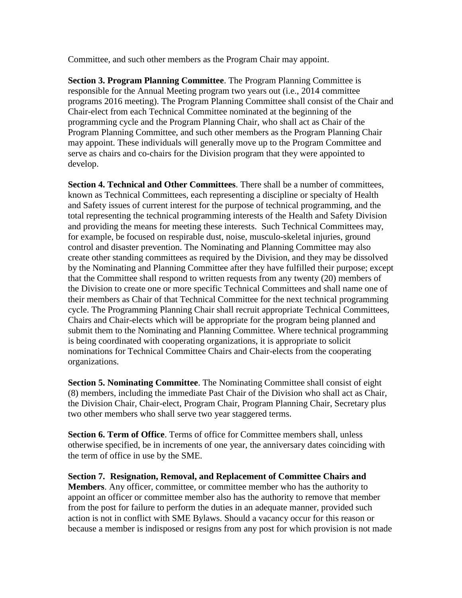Committee, and such other members as the Program Chair may appoint.

**Section 3. Program Planning Committee**. The Program Planning Committee is responsible for the Annual Meeting program two years out (i.e., 2014 committee programs 2016 meeting). The Program Planning Committee shall consist of the Chair and Chair-elect from each Technical Committee nominated at the beginning of the programming cycle and the Program Planning Chair, who shall act as Chair of the Program Planning Committee, and such other members as the Program Planning Chair may appoint. These individuals will generally move up to the Program Committee and serve as chairs and co-chairs for the Division program that they were appointed to develop.

**Section 4. Technical and Other Committees**. There shall be a number of committees, known as Technical Committees, each representing a discipline or specialty of Health and Safety issues of current interest for the purpose of technical programming, and the total representing the technical programming interests of the Health and Safety Division and providing the means for meeting these interests. Such Technical Committees may, for example, be focused on respirable dust, noise, musculo-skeletal injuries, ground control and disaster prevention. The Nominating and Planning Committee may also create other standing committees as required by the Division, and they may be dissolved by the Nominating and Planning Committee after they have fulfilled their purpose; except that the Committee shall respond to written requests from any twenty (20) members of the Division to create one or more specific Technical Committees and shall name one of their members as Chair of that Technical Committee for the next technical programming cycle. The Programming Planning Chair shall recruit appropriate Technical Committees, Chairs and Chair-elects which will be appropriate for the program being planned and submit them to the Nominating and Planning Committee. Where technical programming is being coordinated with cooperating organizations, it is appropriate to solicit nominations for Technical Committee Chairs and Chair-elects from the cooperating organizations.

**Section 5. Nominating Committee**. The Nominating Committee shall consist of eight (8) members, including the immediate Past Chair of the Division who shall act as Chair, the Division Chair, Chair-elect, Program Chair, Program Planning Chair, Secretary plus two other members who shall serve two year staggered terms.

**Section 6. Term of Office**. Terms of office for Committee members shall, unless otherwise specified, be in increments of one year, the anniversary dates coinciding with the term of office in use by the SME.

**Section 7. Resignation, Removal, and Replacement of Committee Chairs and Members**. Any officer, committee, or committee member who has the authority to appoint an officer or committee member also has the authority to remove that member from the post for failure to perform the duties in an adequate manner, provided such action is not in conflict with SME Bylaws. Should a vacancy occur for this reason or because a member is indisposed or resigns from any post for which provision is not made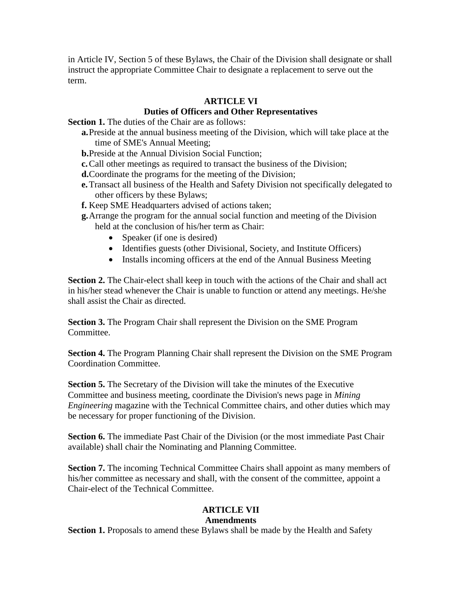in Article IV, Section 5 of these Bylaws, the Chair of the Division shall designate or shall instruct the appropriate Committee Chair to designate a replacement to serve out the term.

# **ARTICLE VI**

## **Duties of Officers and Other Representatives**

**Section 1.** The duties of the Chair are as follows:

**a.**Preside at the annual business meeting of the Division, which will take place at the time of SME's Annual Meeting;

**b.**Preside at the Annual Division Social Function;

- **c.**Call other meetings as required to transact the business of the Division;
- **d.**Coordinate the programs for the meeting of the Division;
- **e.**Transact all business of the Health and Safety Division not specifically delegated to other officers by these Bylaws;
- **f.** Keep SME Headquarters advised of actions taken;
- **g.**Arrange the program for the annual social function and meeting of the Division held at the conclusion of his/her term as Chair:
	- Speaker (if one is desired)
	- Identifies guests (other Divisional, Society, and Institute Officers)
	- Installs incoming officers at the end of the Annual Business Meeting

**Section 2.** The Chair-elect shall keep in touch with the actions of the Chair and shall act in his/her stead whenever the Chair is unable to function or attend any meetings. He/she shall assist the Chair as directed.

**Section 3.** The Program Chair shall represent the Division on the SME Program Committee.

**Section 4.** The Program Planning Chair shall represent the Division on the SME Program Coordination Committee.

**Section 5.** The Secretary of the Division will take the minutes of the Executive Committee and business meeting, coordinate the Division's news page in *Mining Engineering* magazine with the Technical Committee chairs, and other duties which may be necessary for proper functioning of the Division.

**Section 6.** The immediate Past Chair of the Division (or the most immediate Past Chair available) shall chair the Nominating and Planning Committee.

**Section 7.** The incoming Technical Committee Chairs shall appoint as many members of his/her committee as necessary and shall, with the consent of the committee, appoint a Chair-elect of the Technical Committee.

# **ARTICLE VII**

# **Amendments**

**Section 1.** Proposals to amend these Bylaws shall be made by the Health and Safety